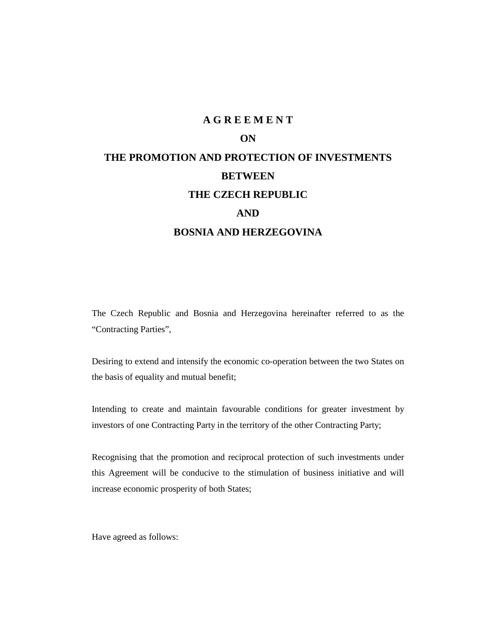# **ON THE PROMOTION AND PROTECTION OF INVESTMENTS BETWEEN THE CZECH REPUBLIC AND BOSNIA AND HERZEGOVINA**

**A G R E E M E N T**

The Czech Republic and Bosnia and Herzegovina hereinafter referred to as the "Contracting Parties",

Desiring to extend and intensify the economic co-operation between the two States on the basis of equality and mutual benefit;

Intending to create and maintain favourable conditions for greater investment by investors of one Contracting Party in the territory of the other Contracting Party;

Recognising that the promotion and reciprocal protection of such investments under this Agreement will be conducive to the stimulation of business initiative and will increase economic prosperity of both States;

Have agreed as follows: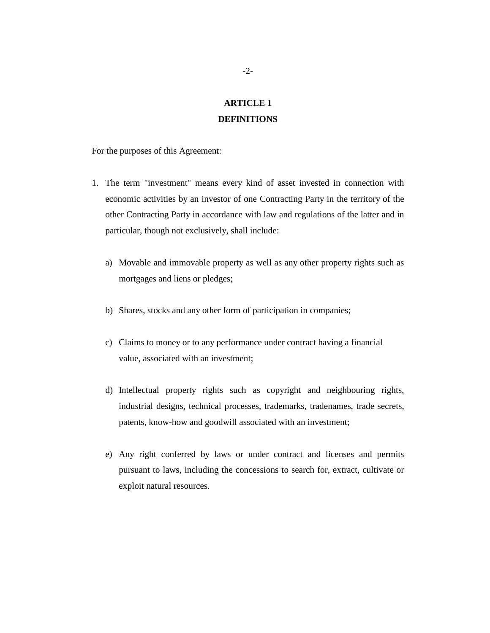### **ARTICLE 1 DEFINITIONS**

For the purposes of this Agreement:

- 1. The term "investment" means every kind of asset invested in connection with economic activities by an investor of one Contracting Party in the territory of the other Contracting Party in accordance with law and regulations of the latter and in particular, though not exclusively, shall include:
	- a) Movable and immovable property as well as any other property rights such as mortgages and liens or pledges;
	- b) Shares, stocks and any other form of participation in companies;
	- c) Claims to money or to any performance under contract having a financial value, associated with an investment;
	- d) Intellectual property rights such as copyright and neighbouring rights, industrial designs, technical processes, trademarks, tradenames, trade secrets, patents, know-how and goodwill associated with an investment;
	- e) Any right conferred by laws or under contract and licenses and permits pursuant to laws, including the concessions to search for, extract, cultivate or exploit natural resources.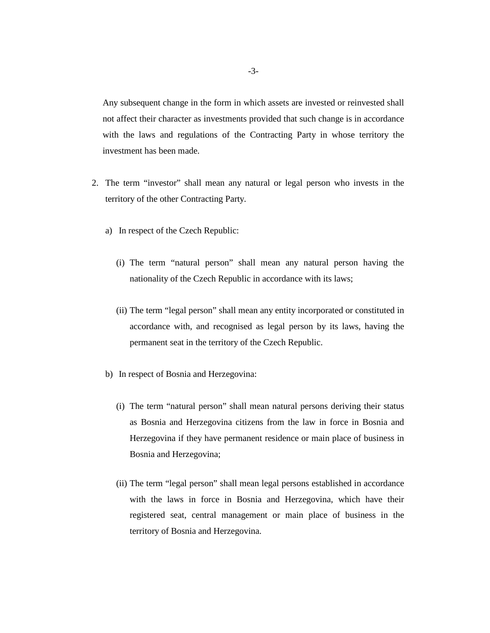Any subsequent change in the form in which assets are invested or reinvested shall not affect their character as investments provided that such change is in accordance with the laws and regulations of the Contracting Party in whose territory the investment has been made.

- 2. The term "investor" shall mean any natural or legal person who invests in the territory of the other Contracting Party.
	- a) In respect of the Czech Republic:
		- (i) The term "natural person" shall mean any natural person having the nationality of the Czech Republic in accordance with its laws;
		- (ii) The term "legal person" shall mean any entity incorporated or constituted in accordance with, and recognised as legal person by its laws, having the permanent seat in the territory of the Czech Republic.
	- b) In respect of Bosnia and Herzegovina:
		- (i) The term "natural person" shall mean natural persons deriving their status as Bosnia and Herzegovina citizens from the law in force in Bosnia and Herzegovina if they have permanent residence or main place of business in Bosnia and Herzegovina;
		- (ii) The term "legal person" shall mean legal persons established in accordance with the laws in force in Bosnia and Herzegovina, which have their registered seat, central management or main place of business in the territory of Bosnia and Herzegovina.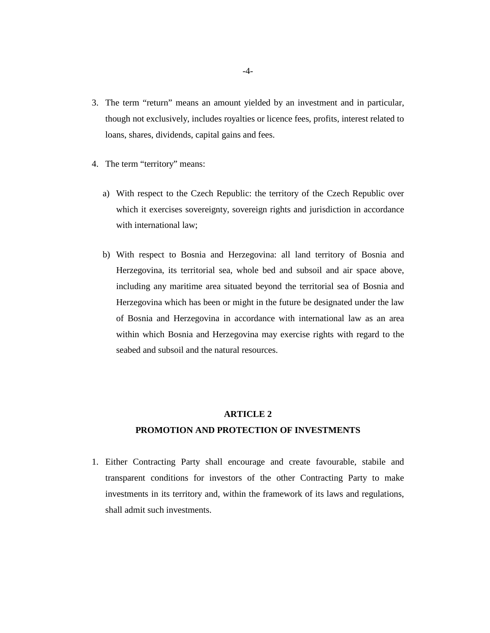- 3. The term "return" means an amount yielded by an investment and in particular, though not exclusively, includes royalties or licence fees, profits, interest related to loans, shares, dividends, capital gains and fees.
- 4. The term "territory" means:
	- a) With respect to the Czech Republic: the territory of the Czech Republic over which it exercises sovereignty, sovereign rights and jurisdiction in accordance with international law;
	- b) With respect to Bosnia and Herzegovina: all land territory of Bosnia and Herzegovina, its territorial sea, whole bed and subsoil and air space above, including any maritime area situated beyond the territorial sea of Bosnia and Herzegovina which has been or might in the future be designated under the law of Bosnia and Herzegovina in accordance with international law as an area within which Bosnia and Herzegovina may exercise rights with regard to the seabed and subsoil and the natural resources.

### **PROMOTION AND PROTECTION OF INVESTMENTS**

1. Either Contracting Party shall encourage and create favourable, stabile and transparent conditions for investors of the other Contracting Party to make investments in its territory and, within the framework of its laws and regulations, shall admit such investments.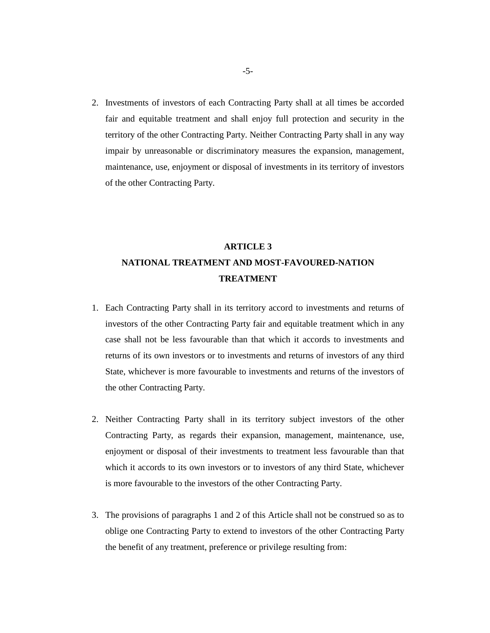2. Investments of investors of each Contracting Party shall at all times be accorded fair and equitable treatment and shall enjoy full protection and security in the territory of the other Contracting Party. Neither Contracting Party shall in any way impair by unreasonable or discriminatory measures the expansion, management, maintenance, use, enjoyment or disposal of investments in its territory of investors of the other Contracting Party.

### **ARTICLE 3 NATIONAL TREATMENT AND MOST-FAVOURED-NATION TREATMENT**

- 1. Each Contracting Party shall in its territory accord to investments and returns of investors of the other Contracting Party fair and equitable treatment which in any case shall not be less favourable than that which it accords to investments and returns of its own investors or to investments and returns of investors of any third State, whichever is more favourable to investments and returns of the investors of the other Contracting Party.
- 2. Neither Contracting Party shall in its territory subject investors of the other Contracting Party, as regards their expansion, management, maintenance, use, enjoyment or disposal of their investments to treatment less favourable than that which it accords to its own investors or to investors of any third State, whichever is more favourable to the investors of the other Contracting Party.
- 3. The provisions of paragraphs 1 and 2 of this Article shall not be construed so as to oblige one Contracting Party to extend to investors of the other Contracting Party the benefit of any treatment, preference or privilege resulting from: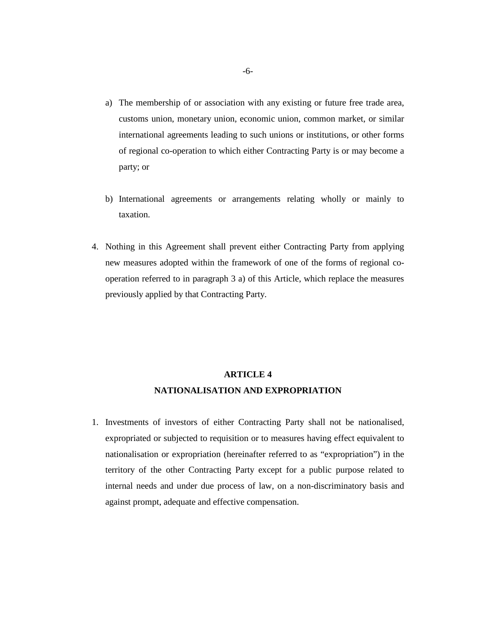- a) The membership of or association with any existing or future free trade area, customs union, monetary union, economic union, common market, or similar international agreements leading to such unions or institutions, or other forms of regional co-operation to which either Contracting Party is or may become a party; or
- b) International agreements or arrangements relating wholly or mainly to taxation.
- 4. Nothing in this Agreement shall prevent either Contracting Party from applying new measures adopted within the framework of one of the forms of regional cooperation referred to in paragraph 3 a) of this Article, which replace the measures previously applied by that Contracting Party.

### **ARTICLE 4 NATIONALISATION AND EXPROPRIATION**

1. Investments of investors of either Contracting Party shall not be nationalised, expropriated or subjected to requisition or to measures having effect equivalent to nationalisation or expropriation (hereinafter referred to as "expropriation") in the territory of the other Contracting Party except for a public purpose related to internal needs and under due process of law, on a non-discriminatory basis and against prompt, adequate and effective compensation.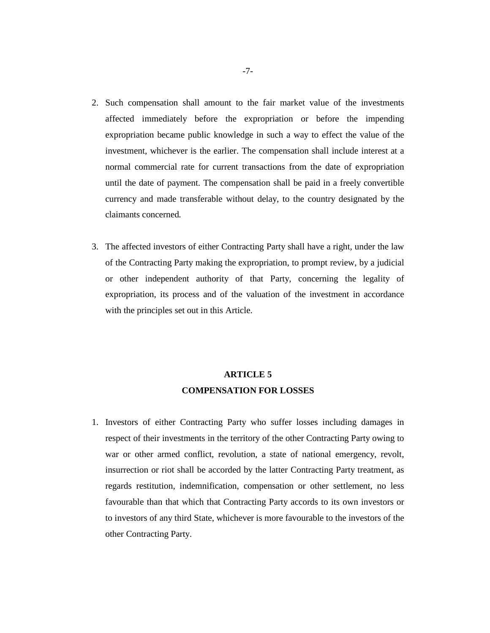- 2. Such compensation shall amount to the fair market value of the investments affected immediately before the expropriation or before the impending expropriation became public knowledge in such a way to effect the value of the investment, whichever is the earlier. The compensation shall include interest at a normal commercial rate for current transactions from the date of expropriation until the date of payment. The compensation shall be paid in a freely convertible currency and made transferable without delay, to the country designated by the claimants concerned*.*
- 3. The affected investors of either Contracting Party shall have a right, under the law of the Contracting Party making the expropriation, to prompt review, by a judicial or other independent authority of that Party, concerning the legality of expropriation, its process and of the valuation of the investment in accordance with the principles set out in this Article.

### **ARTICLE 5 COMPENSATION FOR LOSSES**

1. Investors of either Contracting Party who suffer losses including damages in respect of their investments in the territory of the other Contracting Party owing to war or other armed conflict, revolution, a state of national emergency, revolt, insurrection or riot shall be accorded by the latter Contracting Party treatment, as regards restitution, indemnification, compensation or other settlement, no less favourable than that which that Contracting Party accords to its own investors or to investors of any third State, whichever is more favourable to the investors of the other Contracting Party.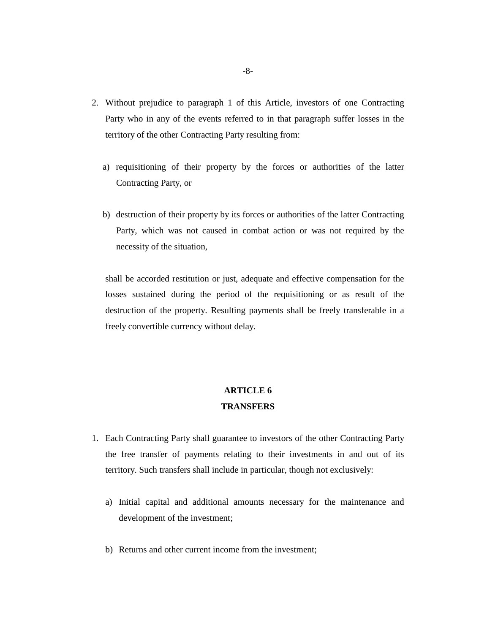- 2. Without prejudice to paragraph 1 of this Article, investors of one Contracting Party who in any of the events referred to in that paragraph suffer losses in the territory of the other Contracting Party resulting from:
	- a) requisitioning of their property by the forces or authorities of the latter Contracting Party, or
	- b) destruction of their property by its forces or authorities of the latter Contracting Party, which was not caused in combat action or was not required by the necessity of the situation,

shall be accorded restitution or just, adequate and effective compensation for the losses sustained during the period of the requisitioning or as result of the destruction of the property. Resulting payments shall be freely transferable in a freely convertible currency without delay.

## **ARTICLE 6**

### **TRANSFERS**

- 1. Each Contracting Party shall guarantee to investors of the other Contracting Party the free transfer of payments relating to their investments in and out of its territory. Such transfers shall include in particular, though not exclusively:
	- a) Initial capital and additional amounts necessary for the maintenance and development of the investment;
	- b) Returns and other current income from the investment;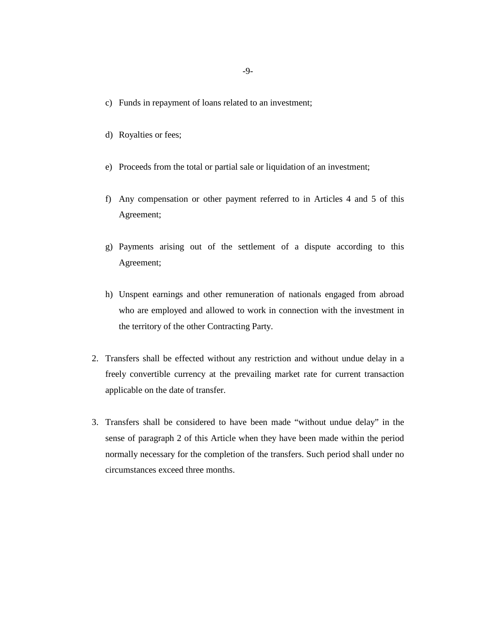- c) Funds in repayment of loans related to an investment;
- d) Royalties or fees;
- e) Proceeds from the total or partial sale or liquidation of an investment;
- f) Any compensation or other payment referred to in Articles 4 and 5 of this Agreement;
- g) Payments arising out of the settlement of a dispute according to this Agreement;
- h) Unspent earnings and other remuneration of nationals engaged from abroad who are employed and allowed to work in connection with the investment in the territory of the other Contracting Party.
- 2. Transfers shall be effected without any restriction and without undue delay in a freely convertible currency at the prevailing market rate for current transaction applicable on the date of transfer.
- 3. Transfers shall be considered to have been made "without undue delay" in the sense of paragraph 2 of this Article when they have been made within the period normally necessary for the completion of the transfers. Such period shall under no circumstances exceed three months.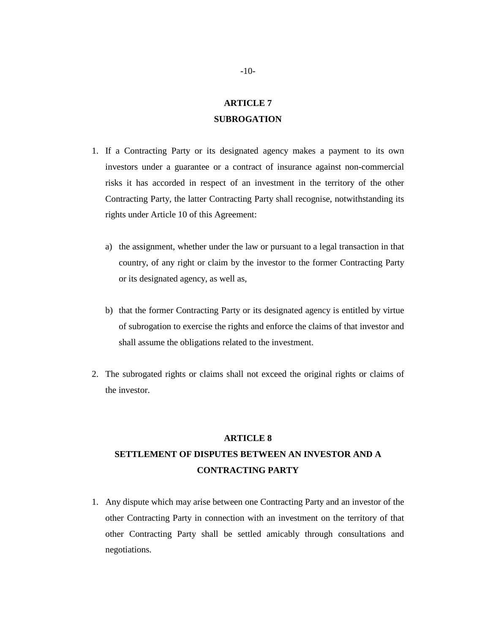### **ARTICLE 7 SUBROGATION**

- 1. If a Contracting Party or its designated agency makes a payment to its own investors under a guarantee or a contract of insurance against non-commercial risks it has accorded in respect of an investment in the territory of the other Contracting Party, the latter Contracting Party shall recognise, notwithstanding its rights under Article 10 of this Agreement:
	- a) the assignment, whether under the law or pursuant to a legal transaction in that country, of any right or claim by the investor to the former Contracting Party or its designated agency, as well as,
	- b) that the former Contracting Party or its designated agency is entitled by virtue of subrogation to exercise the rights and enforce the claims of that investor and shall assume the obligations related to the investment.
- 2. The subrogated rights or claims shall not exceed the original rights or claims of the investor.

#### **ARTICLE 8**

### **SETTLEMENT OF DISPUTES BETWEEN AN INVESTOR AND A CONTRACTING PARTY**

1. Any dispute which may arise between one Contracting Party and an investor of the other Contracting Party in connection with an investment on the territory of that other Contracting Party shall be settled amicably through consultations and negotiations.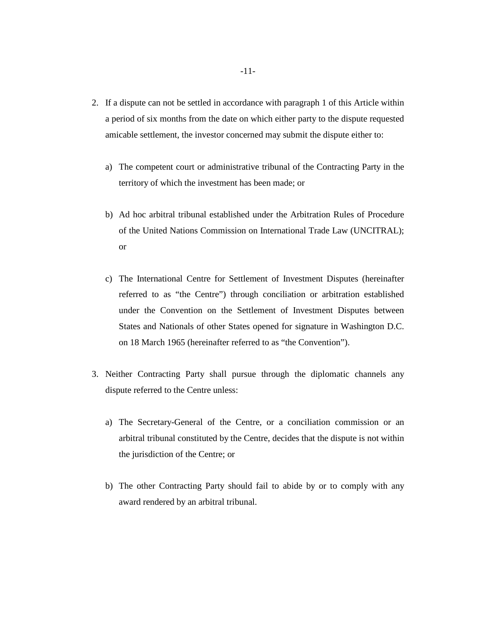- 2. If a dispute can not be settled in accordance with paragraph 1 of this Article within a period of six months from the date on which either party to the dispute requested amicable settlement, the investor concerned may submit the dispute either to:
	- a) The competent court or administrative tribunal of the Contracting Party in the territory of which the investment has been made; or
	- b) Ad hoc arbitral tribunal established under the Arbitration Rules of Procedure of the United Nations Commission on International Trade Law (UNCITRAL); or
	- c) The International Centre for Settlement of Investment Disputes (hereinafter referred to as "the Centre") through conciliation or arbitration established under the Convention on the Settlement of Investment Disputes between States and Nationals of other States opened for signature in Washington D.C. on 18 March 1965 (hereinafter referred to as "the Convention").
- 3. Neither Contracting Party shall pursue through the diplomatic channels any dispute referred to the Centre unless:
	- a) The Secretary-General of the Centre, or a conciliation commission or an arbitral tribunal constituted by the Centre, decides that the dispute is not within the jurisdiction of the Centre; or
	- b) The other Contracting Party should fail to abide by or to comply with any award rendered by an arbitral tribunal.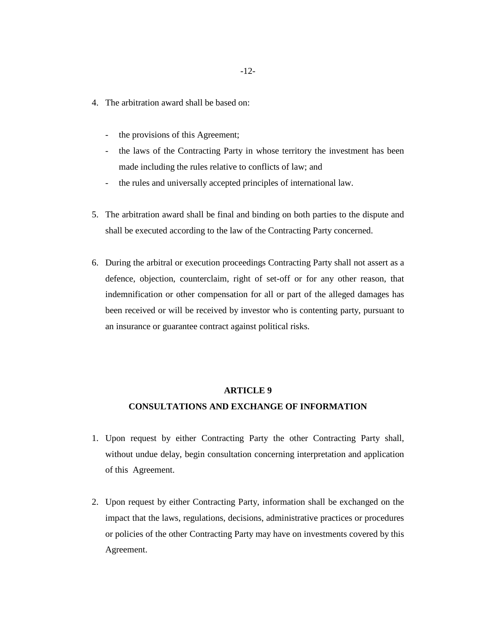- 4. The arbitration award shall be based on:
	- the provisions of this Agreement;
	- the laws of the Contracting Party in whose territory the investment has been made including the rules relative to conflicts of law; and
	- the rules and universally accepted principles of international law.
- 5. The arbitration award shall be final and binding on both parties to the dispute and shall be executed according to the law of the Contracting Party concerned.
- 6. During the arbitral or execution proceedings Contracting Party shall not assert as a defence, objection, counterclaim, right of set-off or for any other reason, that indemnification or other compensation for all or part of the alleged damages has been received or will be received by investor who is contenting party, pursuant to an insurance or guarantee contract against political risks.

### **CONSULTATIONS AND EXCHANGE OF INFORMATION**

- 1. Upon request by either Contracting Party the other Contracting Party shall, without undue delay, begin consultation concerning interpretation and application of this Agreement.
- 2. Upon request by either Contracting Party, information shall be exchanged on the impact that the laws, regulations, decisions, administrative practices or procedures or policies of the other Contracting Party may have on investments covered by this Agreement.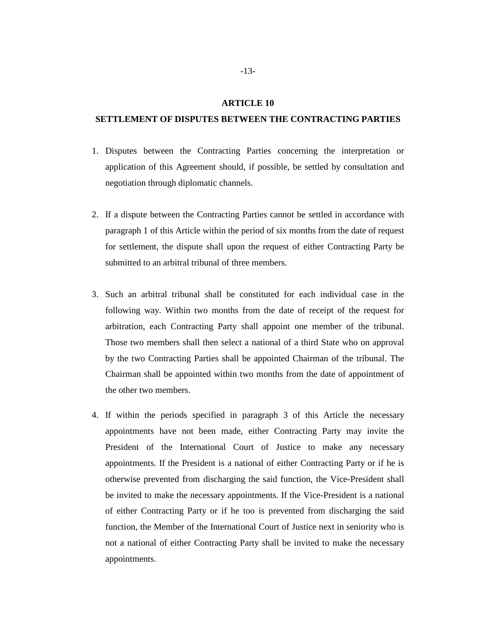#### **SETTLEMENT OF DISPUTES BETWEEN THE CONTRACTING PARTIES**

- 1. Disputes between the Contracting Parties concerning the interpretation or application of this Agreement should, if possible, be settled by consultation and negotiation through diplomatic channels.
- 2. If a dispute between the Contracting Parties cannot be settled in accordance with paragraph 1 of this Article within the period of six months from the date of request for settlement, the dispute shall upon the request of either Contracting Party be submitted to an arbitral tribunal of three members.
- 3. Such an arbitral tribunal shall be constituted for each individual case in the following way. Within two months from the date of receipt of the request for arbitration, each Contracting Party shall appoint one member of the tribunal. Those two members shall then select a national of a third State who on approval by the two Contracting Parties shall be appointed Chairman of the tribunal. The Chairman shall be appointed within two months from the date of appointment of the other two members.
- 4. If within the periods specified in paragraph 3 of this Article the necessary appointments have not been made, either Contracting Party may invite the President of the International Court of Justice to make any necessary appointments. If the President is a national of either Contracting Party or if he is otherwise prevented from discharging the said function, the Vice-President shall be invited to make the necessary appointments. If the Vice-President is a national of either Contracting Party or if he too is prevented from discharging the said function, the Member of the International Court of Justice next in seniority who is not a national of either Contracting Party shall be invited to make the necessary appointments.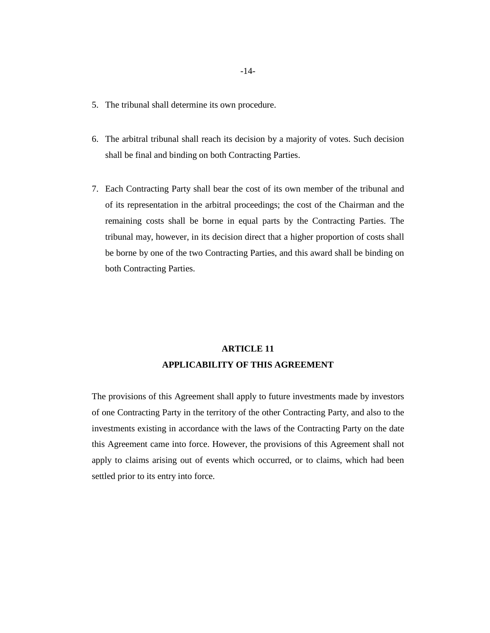- 5. The tribunal shall determine its own procedure.
- 6. The arbitral tribunal shall reach its decision by a majority of votes. Such decision shall be final and binding on both Contracting Parties.
- 7. Each Contracting Party shall bear the cost of its own member of the tribunal and of its representation in the arbitral proceedings; the cost of the Chairman and the remaining costs shall be borne in equal parts by the Contracting Parties. The tribunal may, however, in its decision direct that a higher proportion of costs shall be borne by one of the two Contracting Parties, and this award shall be binding on both Contracting Parties.

### **ARTICLE 11 APPLICABILITY OF THIS AGREEMENT**

The provisions of this Agreement shall apply to future investments made by investors of one Contracting Party in the territory of the other Contracting Party, and also to the investments existing in accordance with the laws of the Contracting Party on the date this Agreement came into force. However, the provisions of this Agreement shall not apply to claims arising out of events which occurred, or to claims, which had been settled prior to its entry into force.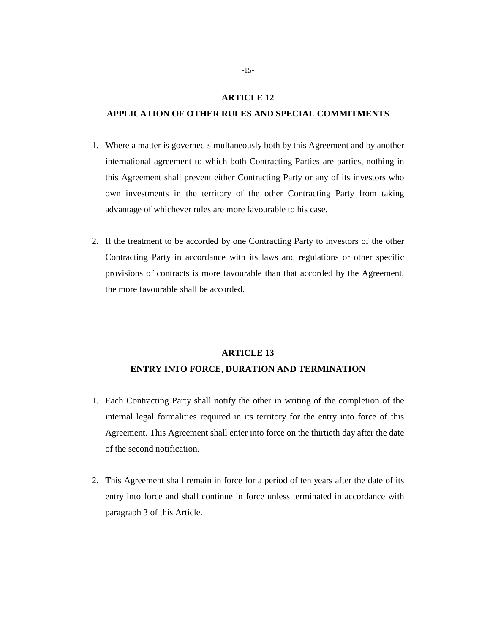### **APPLICATION OF OTHER RULES AND SPECIAL COMMITMENTS**

- 1. Where a matter is governed simultaneously both by this Agreement and by another international agreement to which both Contracting Parties are parties, nothing in this Agreement shall prevent either Contracting Party or any of its investors who own investments in the territory of the other Contracting Party from taking advantage of whichever rules are more favourable to his case.
- 2. If the treatment to be accorded by one Contracting Party to investors of the other Contracting Party in accordance with its laws and regulations or other specific provisions of contracts is more favourable than that accorded by the Agreement, the more favourable shall be accorded.

### **ARTICLE 13**

### **ENTRY INTO FORCE, DURATION AND TERMINATION**

- 1. Each Contracting Party shall notify the other in writing of the completion of the internal legal formalities required in its territory for the entry into force of this Agreement. This Agreement shall enter into force on the thirtieth day after the date of the second notification.
- 2. This Agreement shall remain in force for a period of ten years after the date of its entry into force and shall continue in force unless terminated in accordance with paragraph 3 of this Article.